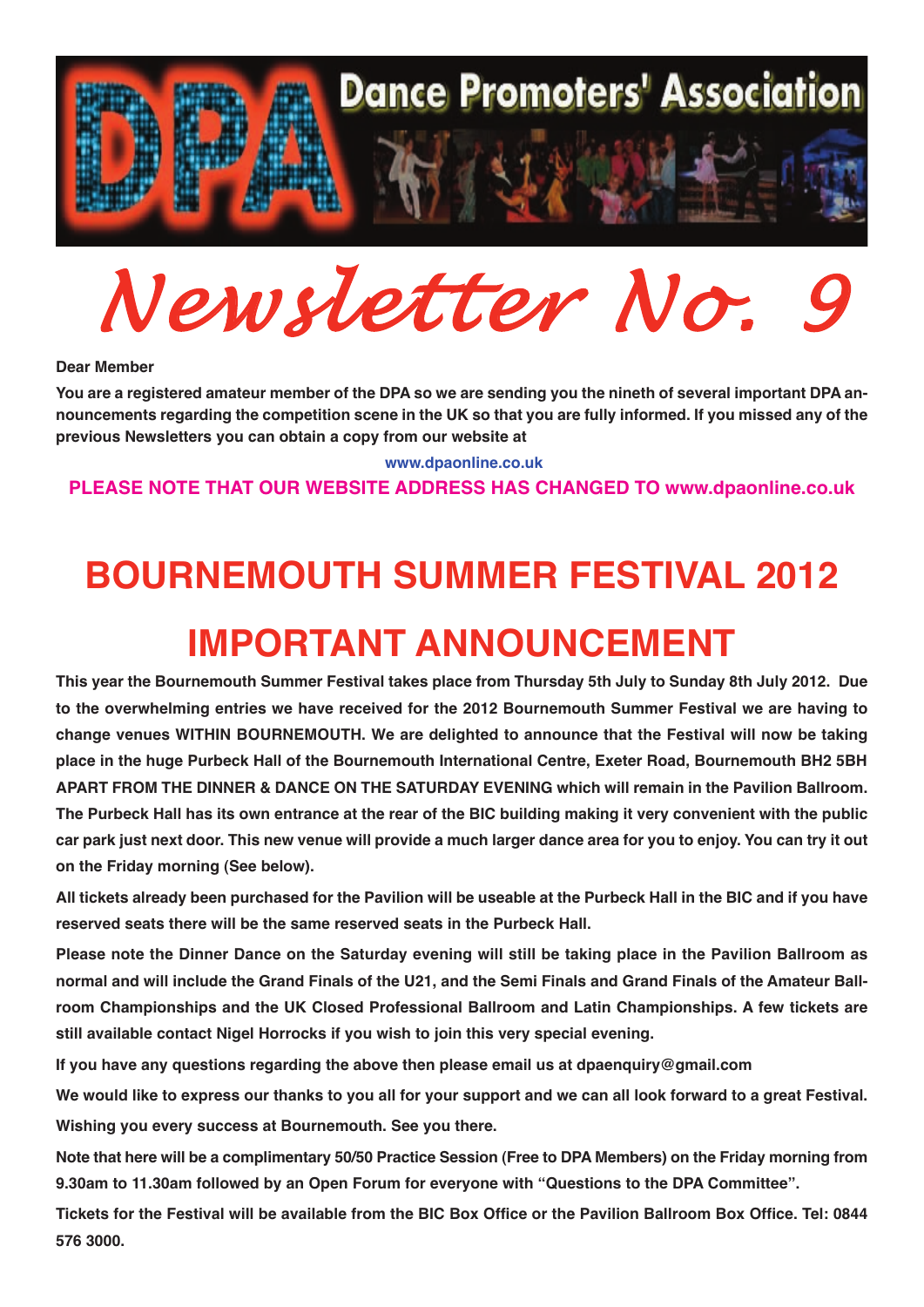

*Newsletter No. 9*

**Dear Member**

You are a registered amateur member of the DPA so we are sending you the nineth of several important DPA announcements regarding the competition scene in the UK so that you are fully informed. If you missed any of the **previous Newsletters you can obtain <sup>a</sup> copy from our website at**

## **<www.dpaonline.co.uk>**

## **PLEASE NOTE THAT OUR WEBSITE ADDRESS HAS CHANGED TO www.dpaonline.co.uk**

## **BOURNEMOUTH SUMMER FESTIVAL 2012 IMPORTANT ANNOUNCEMENT**

This year the Bournemouth Summer Festival takes place from Thursday 5th July to Sunday 8th July 2012. Due **to the overwhelming entries we have received for the 2012 Bournemouth Summer Festival we are having to change venues WITHIN BOURNEMOUTH. We are delighted to announce that the Festival will now be taking place in the huge Purbeck Hall of the Bournemouth International Centre, Exeter Road, Bournemouth BH2 5BH APART FROM THE DINNER & DANCE ON THE SATURDAY EVENING which will remain in the Pavilion Ballroom.** The Purbeck Hall has its own entrance at the rear of the BIC building making it very convenient with the public car park just next door. This new venue will provide a much larger dance area for you to enjoy. You can try it out **on the Friday morning (See below).**

All tickets already been purchased for the Pavilion will be useable at the Purbeck Hall in the BIC and if you have **reserved seats there will be the same reserved seats in the Purbeck Hall.**

Please note the Dinner Dance on the Saturday evening will still be taking place in the Pavilion Ballroom as normal and will include the Grand Finals of the U21, and the Semi Finals and Grand Finals of the Amateur Ball**room Championships and the UK Closed Professional Ballroom and Latin Championships. A few tickets are still available contact Nigel Horrocks if you wish to join this very special evening.**

**If you have any questions regarding the above then please email us at dpaenquiry@gmail.com**

We would like to express our thanks to you all for your support and we can all look forward to a great Festival. **Wishing you every success at Bournemouth. See you there.**

Note that here will be a complimentary 50/50 Practice Session (Free to DPA Members) on the Friday morning from **9.30am to 11.30am followed by an Open Forum for everyone with "Questions to the DPA Committee".**

Tickets for the Festival will be available from the BIC Box Office or the Pavilion Ballroom Box Office, Tel: 0844 **576 3000.**